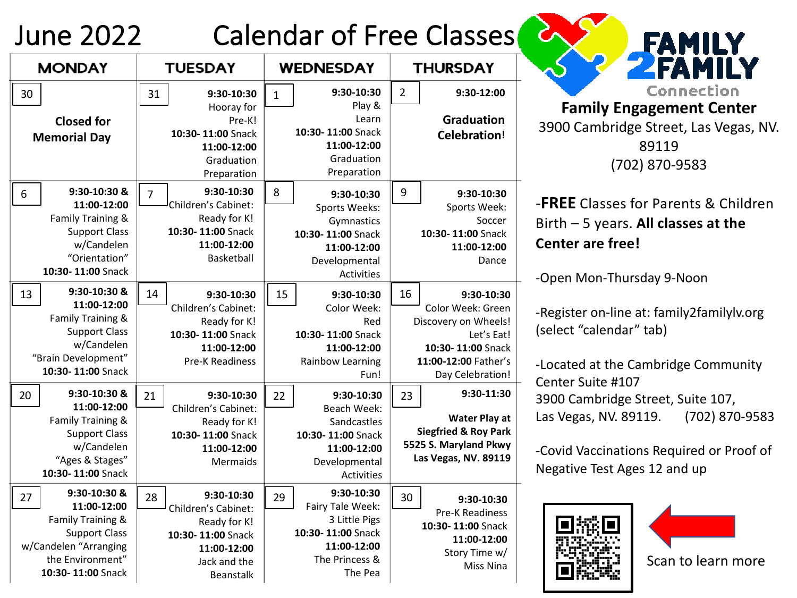## June 2022 Calendar of Free Classes

| <b>MONDAY</b>                                                                                                                                    | <b>TUESDAY</b>                                                                                                                  | <b>WEDNESDAY</b>                                                                                                         | <b>THURSDAY</b>                                                                                                                              |
|--------------------------------------------------------------------------------------------------------------------------------------------------|---------------------------------------------------------------------------------------------------------------------------------|--------------------------------------------------------------------------------------------------------------------------|----------------------------------------------------------------------------------------------------------------------------------------------|
| 30<br><b>Closed for</b><br><b>Memorial Day</b>                                                                                                   | 31<br>9:30-10:30<br>Hooray for<br>Pre-K!<br>10:30-11:00 Snack<br>11:00-12:00<br>Graduation<br>Preparation                       | 9:30-10:30<br>$\mathbf{1}$<br>Play &<br>Learn<br>10:30-11:00 Snack<br>11:00-12:00<br>Graduation<br>Preparation           | $\overline{2}$<br>9:30-12:00<br>Graduation<br><b>Celebration!</b>                                                                            |
| 9:30-10:30 &<br>6<br>11:00-12:00<br>Family Training &<br><b>Support Class</b><br>w/Candelen<br>"Orientation"<br>10:30-11:00 Snack                | 9:30-10:30<br>$\overline{7}$<br>Children's Cabinet:<br>Ready for K!<br>10:30-11:00 Snack<br>11:00-12:00<br>Basketball           | 8<br>9:30-10:30<br>Sports Weeks:<br>Gymnastics<br>10:30-11:00 Snack<br>11:00-12:00<br>Developmental<br>Activities        | 9<br>9:30-10:30<br>Sports Week:<br>Soccer<br>10:30-11:00 Snack<br>11:00-12:00<br>Dance                                                       |
| 9:30-10:30 &<br>13<br>11:00-12:00<br>Family Training &<br><b>Support Class</b><br>w/Candelen<br>"Brain Development"<br>10:30-11:00 Snack         | 14<br>9:30-10:30<br>Children's Cabinet:<br>Ready for K!<br>10:30-11:00 Snack<br>11:00-12:00<br><b>Pre-K Readiness</b>           | 15<br>9:30-10:30<br>Color Week:<br>Red<br>10:30-11:00 Snack<br>11:00-12:00<br>Rainbow Learning<br>Fun!                   | 16<br>9:30-10:30<br>Color Week: Green<br>Discovery on Wheels!<br>Let's Eat!<br>10:30-11:00 Snack<br>11:00-12:00 Father's<br>Day Celebration! |
| 9:30-10:30 &<br>20<br>11:00-12:00<br>Family Training &<br><b>Support Class</b><br>w/Candelen<br>"Ages & Stages"<br>10:30-11:00 Snack             | 21<br>9:30-10:30<br>Children's Cabinet:<br>Ready for K!<br>10:30-11:00 Snack<br>11:00-12:00<br>Mermaids                         | 9:30-10:30<br>22<br>Beach Week:<br>Sandcastles<br>10:30-11:00 Snack<br>11:00-12:00<br>Developmental<br><b>Activities</b> | 9:30-11:30<br>23<br><b>Water Play at</b><br><b>Siegfried &amp; Roy Park</b><br>5525 S. Maryland Pkwy<br>Las Vegas, NV. 89119                 |
| 9:30-10:30 &<br>27<br>11:00-12:00<br>Family Training &<br><b>Support Class</b><br>w/Candelen "Arranging<br>the Environment"<br>10:30-11:00 Snack | 9:30-10:30<br>28<br>Children's Cabinet:<br>Ready for K!<br>10:30-11:00 Snack<br>11:00-12:00<br>Jack and the<br><b>Beanstalk</b> | 9:30-10:30<br>29<br>Fairy Tale Week:<br>3 Little Pigs<br>10:30-11:00 Snack<br>11:00-12:00<br>The Princess &<br>The Pea   | 30<br>9:30-10:30<br><b>Pre-K Readiness</b><br>10:30-11:00 Snack<br>11:00-12:00<br>Story Time w/<br>Miss Nina                                 |



3900 Cambridge Street, Las Vegas, NV. 89119 (702) 870-9583

## -**FREE** Classes for Parents & Children Birth – 5 years. **All classes at the Center are free!**

-Open Mon-Thursday 9-Noon

-Register on-line at: family2familylv.org (select "calendar" tab)

-Located at the Cambridge Community Center Suite #107 3900 Cambridge Street, Suite 107, Las Vegas, NV. 89119. (702) 870-9583

-Covid Vaccinations Required or Proof of Negative Test Ages 12 and up